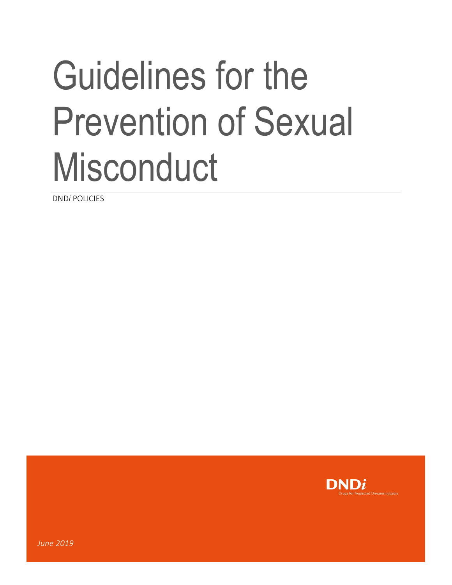# Guidelines for the Prevention of Sexual **Misconduct**

DND*i* POLICIES

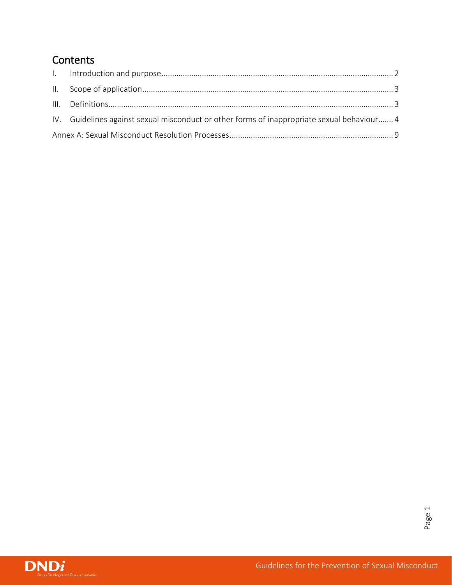## **Contents**

|  | IV. Guidelines against sexual misconduct or other forms of inappropriate sexual behaviour4 |  |
|--|--------------------------------------------------------------------------------------------|--|
|  |                                                                                            |  |

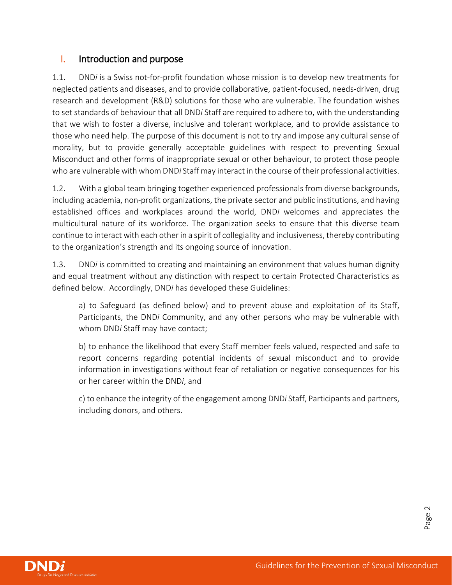## <span id="page-2-0"></span>I. Introduction and purpose

1.1. DND*i* is a Swiss not-for-profit foundation whose mission is to develop new treatments for neglected patients and diseases, and to provide collaborative, patient-focused, needs-driven, drug research and development (R&D) solutions for those who are vulnerable. The foundation wishes to set standards of behaviour that all DND*i* Staff are required to adhere to, with the understanding that we wish to foster a diverse, inclusive and tolerant workplace, and to provide assistance to those who need help. The purpose of this document is not to try and impose any cultural sense of morality, but to provide generally acceptable guidelines with respect to preventing Sexual Misconduct and other forms of inappropriate sexual or other behaviour, to protect those people who are vulnerable with whom DND*i* Staff may interact in the course of their professional activities.

1.2. With a global team bringing together experienced professionals from diverse backgrounds, including academia, non-profit organizations, the private sector and public institutions, and having established offices and workplaces around the world, DND*i* welcomes and appreciates the multicultural nature of its workforce. The organization seeks to ensure that this diverse team continue to interact with each other in a spirit of collegiality and inclusiveness, thereby contributing to the organization's strength and its ongoing source of innovation.

1.3. DND*i* is committed to creating and maintaining an environment that values human dignity and equal treatment without any distinction with respect to certain Protected Characteristics as defined below. Accordingly, DND*i* has developed these Guidelines:

a) to Safeguard (as defined below) and to prevent abuse and exploitation of its Staff, Participants, the DND*i* Community, and any other persons who may be vulnerable with whom DND*i* Staff may have contact;

b) to enhance the likelihood that every Staff member feels valued, respected and safe to report concerns regarding potential incidents of sexual misconduct and to provide information in investigations without fear of retaliation or negative consequences for his or her career within the DND*i*, and

c) to enhance the integrity of the engagement among DND*i* Staff, Participants and partners, including donors, and others.

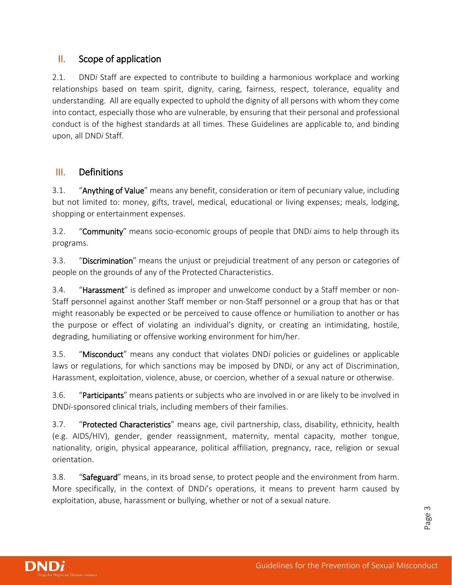## <span id="page-3-0"></span>II. Scope of application

2.1. DND*i* Staff are expected to contribute to building a harmonious workplace and working relationships based on team spirit, dignity, caring, fairness, respect, tolerance, equality and understanding. All are equally expected to uphold the dignity of all persons with whom they come into contact, especially those who are vulnerable, by ensuring that their personal and professional conduct is of the highest standards at all times. These Guidelines are applicable to, and binding upon, all DND*i* Staff.

## <span id="page-3-1"></span>III. Definitions

3.1. "Anything of Value" means any benefit, consideration or item of pecuniary value, including but not limited to: money, gifts, travel, medical, educational or living expenses; meals, lodging, shopping or entertainment expenses.

3.2. "Community" means socio-economic groups of people that DND*i* aims to help through its programs.

3.3. "Discrimination" means the unjust or prejudicial treatment of any person or categories of people on the grounds of any of the Protected Characteristics.

3.4. **"Harassment"** is defined as improper and unwelcome conduct by a Staff member or non-Staff personnel against another Staff member or non-Staff personnel or a group that has or that might reasonably be expected or be perceived to cause offence or humiliation to another or has the purpose or effect of violating an individual's dignity, or creating an intimidating, hostile, degrading, humiliating or offensive working environment for him/her.

3.5. "Misconduct" means any conduct that violates DND*i* policies or guidelines or applicable laws or regulations, for which sanctions may be imposed by DND*i*, or any act of Discrimination, Harassment, exploitation, violence, abuse, or coercion, whether of a sexual nature or otherwise.

3.6. "Participants" means patients or subjects who are involved in or are likely to be involved in DND*i*-sponsored clinical trials, including members of their families.

3.7. "Protected Characteristics" means age, civil partnership, class, disability, ethnicity, health (e.g. AIDS/HIV), gender, gender reassignment, maternity, mental capacity, mother tongue, nationality, origin, physical appearance, political affiliation, pregnancy, race, religion or sexual orientation.

3.8. "Safeguard" means, in its broad sense, to protect people and the environment from harm. More specifically, in the context of DND*i*'s operations, it means to prevent harm caused by exploitation, abuse, harassment or bullying, whether or not of a sexual nature.

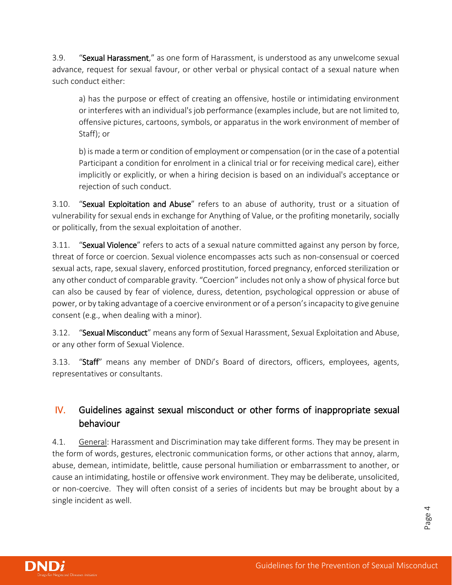3.9. "Sexual Harassment," as one form of Harassment, is understood as any unwelcome sexual advance, request for sexual favour, or other verbal or physical contact of a sexual nature when such conduct either:

a) has the purpose or effect of creating an offensive, hostile or intimidating environment or interferes with an individual's job performance (examples include, but are not limited to, offensive pictures, cartoons, symbols, or apparatus in the work environment of member of Staff); or

b) is made a term or condition of employment or compensation (or in the case of a potential Participant a condition for enrolment in a clinical trial or for receiving medical care), either implicitly or explicitly, or when a hiring decision is based on an individual's acceptance or rejection of such conduct.

3.10. "Sexual Exploitation and Abuse" refers to an abuse of authority, trust or a situation of vulnerability for sexual ends in exchange for Anything of Value, or the profiting monetarily, socially or politically, from the sexual exploitation of another.

3.11. "Sexual Violence" refers to acts of a sexual nature committed against any person by force, threat of force or coercion. Sexual violence encompasses acts such as non-consensual or coerced sexual acts, rape, sexual slavery, enforced prostitution, forced pregnancy, enforced sterilization or any other conduct of comparable gravity. "Coercion" includes not only a show of physical force but can also be caused by fear of violence, duress, detention, psychological oppression or abuse of power, or by taking advantage of a coercive environment or of a person's incapacity to give genuine consent (e.g., when dealing with a minor).

3.12. "Sexual Misconduct" means any form of Sexual Harassment, Sexual Exploitation and Abuse, or any other form of Sexual Violence.

3.13. "Staff" means any member of DND*i*'s Board of directors, officers, employees, agents, representatives or consultants.

## <span id="page-4-0"></span>IV. Guidelines against sexual misconduct or other forms of inappropriate sexual behaviour

4.1. General: Harassment and Discrimination may take different forms. They may be present in the form of words, gestures, electronic communication forms, or other actions that annoy, alarm, abuse, demean, intimidate, belittle, cause personal humiliation or embarrassment to another, or cause an intimidating, hostile or offensive work environment. They may be deliberate, unsolicited, or non-coercive. They will often consist of a series of incidents but may be brought about by a single incident as well.



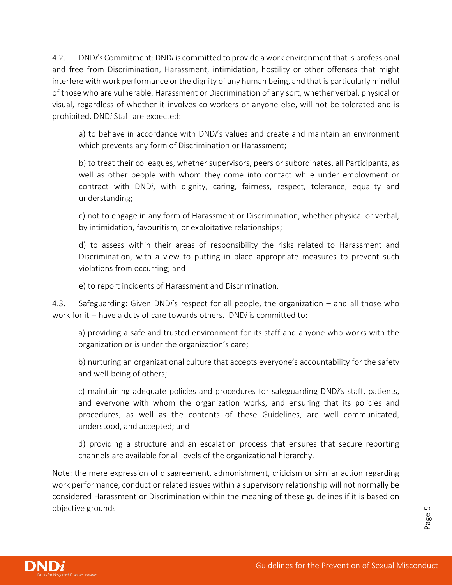4.2. DND*i*'s Commitment: DND*i* is committed to provide a work environment that is professional and free from Discrimination, Harassment, intimidation, hostility or other offenses that might interfere with work performance or the dignity of any human being, and that is particularly mindful of those who are vulnerable. Harassment or Discrimination of any sort, whether verbal, physical or visual, regardless of whether it involves co-workers or anyone else, will not be tolerated and is prohibited. DND*i* Staff are expected:

a) to behave in accordance with DND*i*'s values and create and maintain an environment which prevents any form of Discrimination or Harassment;

b) to treat their colleagues, whether supervisors, peers or subordinates, all Participants, as well as other people with whom they come into contact while under employment or contract with DND*i*, with dignity, caring, fairness, respect, tolerance, equality and understanding;

c) not to engage in any form of Harassment or Discrimination, whether physical or verbal, by intimidation, favouritism, or exploitative relationships;

d) to assess within their areas of responsibility the risks related to Harassment and Discrimination, with a view to putting in place appropriate measures to prevent such violations from occurring; and

e) to report incidents of Harassment and Discrimination.

4.3. Safeguarding: Given DND*i*'s respect for all people, the organization – and all those who work for it -- have a duty of care towards others. DND*i* is committed to:

a) providing a safe and trusted environment for its staff and anyone who works with the organization or is under the organization's care;

b) nurturing an organizational culture that accepts everyone's accountability for the safety and well-being of others;

c) maintaining adequate policies and procedures for safeguarding DND*i*'s staff, patients, and everyone with whom the organization works, and ensuring that its policies and procedures, as well as the contents of these Guidelines, are well communicated, understood, and accepted; and

d) providing a structure and an escalation process that ensures that secure reporting channels are available for all levels of the organizational hierarchy.

Note: the mere expression of disagreement, admonishment, criticism or similar action regarding work performance, conduct or related issues within a supervisory relationship will not normally be considered Harassment or Discrimination within the meaning of these guidelines if it is based on objective grounds.

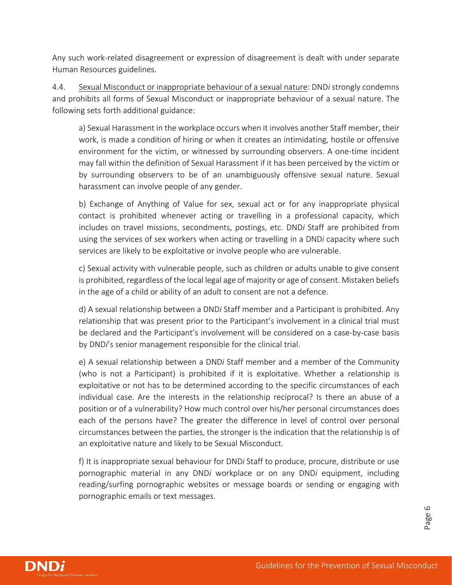Any such work-related disagreement or expression of disagreement is dealt with under separate Human Resources guidelines.

4.4. Sexual Misconduct or inappropriate behaviour of a sexual nature: DND*i* strongly condemns and prohibits all forms of Sexual Misconduct or inappropriate behaviour of a sexual nature. The following sets forth additional guidance:

a) Sexual Harassment in the workplace occurs when it involves another Staff member, their work, is made a condition of hiring or when it creates an intimidating, hostile or offensive environment for the victim, or witnessed by surrounding observers. A one-time incident may fall within the definition of Sexual Harassment if it has been perceived by the victim or by surrounding observers to be of an unambiguously offensive sexual nature. Sexual harassment can involve people of any gender.

b) Exchange of Anything of Value for sex, sexual act or for any inappropriate physical contact is prohibited whenever acting or travelling in a professional capacity, which includes on travel missions, secondments, postings, etc. DND*i* Staff are prohibited from using the services of sex workers when acting or travelling in a DND*i* capacity where such services are likely to be exploitative or involve people who are vulnerable.

c) Sexual activity with vulnerable people, such as children or adults unable to give consent is prohibited, regardless of the local legal age of majority or age of consent. Mistaken beliefs in the age of a child or ability of an adult to consent are not a defence.

d) A sexual relationship between a DND*i* Staff member and a Participant is prohibited. Any relationship that was present prior to the Participant's involvement in a clinical trial must be declared and the Participant's involvement will be considered on a case-by-case basis by DND*i*'s senior management responsible for the clinical trial.

e) A sexual relationship between a DND*i* Staff member and a member of the Community (who is not a Participant) is prohibited if it is exploitative. Whether a relationship is exploitative or not has to be determined according to the specific circumstances of each individual case. Are the interests in the relationship reciprocal? Is there an abuse of a position or of a vulnerability? How much control over his/her personal circumstances does each of the persons have? The greater the difference in level of control over personal circumstances between the parties, the stronger is the indication that the relationship is of an exploitative nature and likely to be Sexual Misconduct.

f) It is inappropriate sexual behaviour for DND*i* Staff to produce, procure, distribute or use pornographic material in any DND*i* workplace or on any DND*i* equipment, including reading/surfing pornographic websites or message boards or sending or engaging with pornographic emails or text messages.

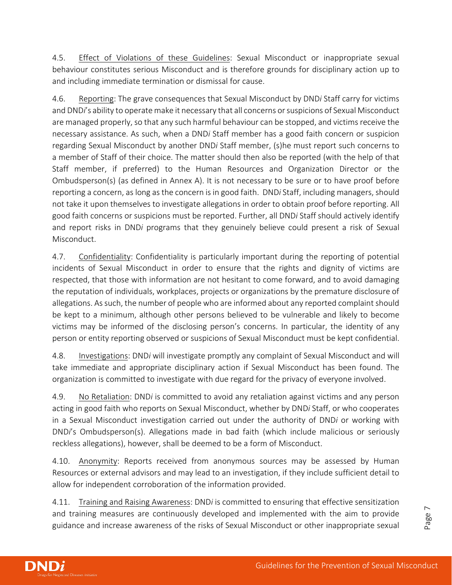4.5. Effect of Violations of these Guidelines: Sexual Misconduct or inappropriate sexual behaviour constitutes serious Misconduct and is therefore grounds for disciplinary action up to and including immediate termination or dismissal for cause.

4.6. Reporting: The grave consequences that Sexual Misconduct by DND*i* Staff carry for victims and DND*i*'s ability to operate make it necessary that all concerns or suspicions of Sexual Misconduct are managed properly, so that any such harmful behaviour can be stopped, and victims receive the necessary assistance. As such, when a DND*i* Staff member has a good faith concern or suspicion regarding Sexual Misconduct by another DND*i* Staff member, (s)he must report such concerns to a member of Staff of their choice. The matter should then also be reported (with the help of that Staff member, if preferred) to the Human Resources and Organization Director or the Ombudsperson(s) (as defined in Annex A). It is not necessary to be sure or to have proof before reporting a concern, as long as the concern is in good faith. DND*i* Staff, including managers, should not take it upon themselves to investigate allegations in order to obtain proof before reporting. All good faith concerns or suspicions must be reported. Further, all DND*i* Staff should actively identify and report risks in DND*i* programs that they genuinely believe could present a risk of Sexual Misconduct.

4.7. Confidentiality: Confidentiality is particularly important during the reporting of potential incidents of Sexual Misconduct in order to ensure that the rights and dignity of victims are respected, that those with information are not hesitant to come forward, and to avoid damaging the reputation of individuals, workplaces, projects or organizations by the premature disclosure of allegations. As such, the number of people who are informed about any reported complaint should be kept to a minimum, although other persons believed to be vulnerable and likely to become victims may be informed of the disclosing person's concerns. In particular, the identity of any person or entity reporting observed or suspicions of Sexual Misconduct must be kept confidential.

4.8. Investigations: DND*i* will investigate promptly any complaint of Sexual Misconduct and will take immediate and appropriate disciplinary action if Sexual Misconduct has been found. The organization is committed to investigate with due regard for the privacy of everyone involved.

4.9. No Retaliation: DND*i* is committed to avoid any retaliation against victims and any person acting in good faith who reports on Sexual Misconduct, whether by DND*i* Staff, or who cooperates in a Sexual Misconduct investigation carried out under the authority of DND*i* or working with DND*i*'s Ombudsperson(s). Allegations made in bad faith (which include malicious or seriously reckless allegations), however, shall be deemed to be a form of Misconduct.

4.10. Anonymity: Reports received from anonymous sources may be assessed by Human Resources or external advisors and may lead to an investigation, if they include sufficient detail to allow for independent corroboration of the information provided.

4.11. Training and Raising Awareness: DND*i* is committed to ensuring that effective sensitization and training measures are continuously developed and implemented with the aim to provide guidance and increase awareness of the risks of Sexual Misconduct or other inappropriate sexual

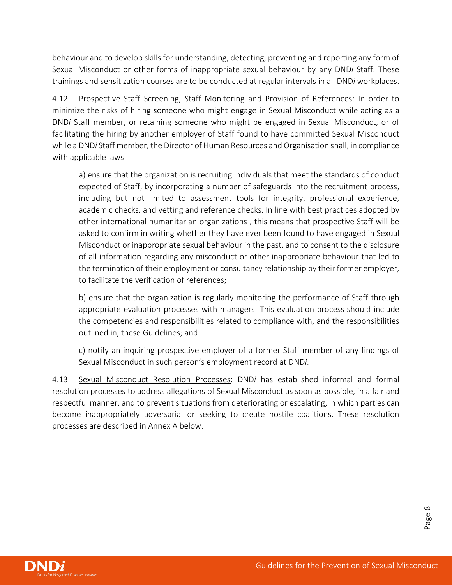behaviour and to develop skills for understanding, detecting, preventing and reporting any form of Sexual Misconduct or other forms of inappropriate sexual behaviour by any DND*i* Staff. These trainings and sensitization courses are to be conducted at regular intervals in all DND*i* workplaces.

4.12. Prospective Staff Screening, Staff Monitoring and Provision of References: In order to minimize the risks of hiring someone who might engage in Sexual Misconduct while acting as a DND*i* Staff member, or retaining someone who might be engaged in Sexual Misconduct, or of facilitating the hiring by another employer of Staff found to have committed Sexual Misconduct while a DND*i* Staff member, the Director of Human Resources and Organisation shall, in compliance with applicable laws:

a) ensure that the organization is recruiting individuals that meet the standards of conduct expected of Staff, by incorporating a number of safeguards into the recruitment process, including but not limited to assessment tools for integrity, professional experience, academic checks, and vetting and reference checks. In line with best practices adopted by other international humanitarian organizations , this means that prospective Staff will be asked to confirm in writing whether they have ever been found to have engaged in Sexual Misconduct or inappropriate sexual behaviour in the past, and to consent to the disclosure of all information regarding any misconduct or other inappropriate behaviour that led to the termination of their employment or consultancy relationship by their former employer, to facilitate the verification of references;

b) ensure that the organization is regularly monitoring the performance of Staff through appropriate evaluation processes with managers. This evaluation process should include the competencies and responsibilities related to compliance with, and the responsibilities outlined in, these Guidelines; and

c) notify an inquiring prospective employer of a former Staff member of any findings of Sexual Misconduct in such person's employment record at DND*i*.

4.13. Sexual Misconduct Resolution Processes: DND*i* has established informal and formal resolution processes to address allegations of Sexual Misconduct as soon as possible, in a fair and respectful manner, and to prevent situations from deteriorating or escalating, in which parties can become inappropriately adversarial or seeking to create hostile coalitions. These resolution processes are described in Annex A below.

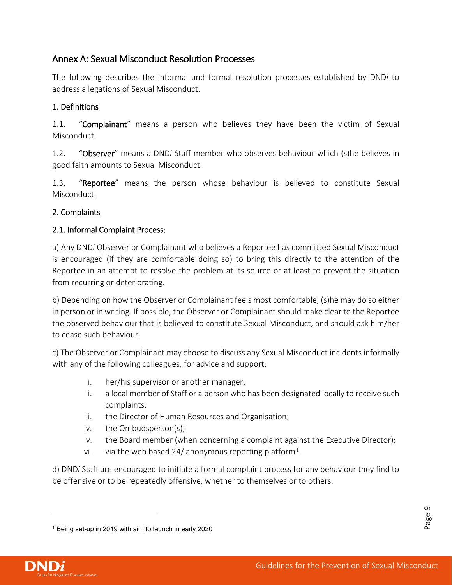## <span id="page-9-0"></span>Annex A: Sexual Misconduct Resolution Processes

The following describes the informal and formal resolution processes established by DND*i* to address allegations of Sexual Misconduct.

#### 1. Definitions

1.1. "Complainant" means a person who believes they have been the victim of Sexual Misconduct.

1.2. "Observer" means a DND*i* Staff member who observes behaviour which (s)he believes in good faith amounts to Sexual Misconduct.

1.3. "Reportee" means the person whose behaviour is believed to constitute Sexual Misconduct.

#### 2. Complaints

#### 2.1. Informal Complaint Process:

a) Any DND*i* Observer or Complainant who believes a Reportee has committed Sexual Misconduct is encouraged (if they are comfortable doing so) to bring this directly to the attention of the Reportee in an attempt to resolve the problem at its source or at least to prevent the situation from recurring or deteriorating.

b) Depending on how the Observer or Complainant feels most comfortable, (s)he may do so either in person or in writing. If possible, the Observer or Complainant should make clear to the Reportee the observed behaviour that is believed to constitute Sexual Misconduct, and should ask him/her to cease such behaviour.

c) The Observer or Complainant may choose to discuss any Sexual Misconduct incidents informally with any of the following colleagues, for advice and support:

- i. her/his supervisor or another manager;
- ii. a local member of Staff or a person who has been designated locally to receive such complaints;
- iii. the Director of Human Resources and Organisation;
- iv. the Ombudsperson(s);
- v. the Board member (when concerning a complaint against the Executive Director);
- vi. via the web based 24/ anonymous reporting platform<sup>[1](#page-9-1)</sup>.

d) DND*i* Staff are encouraged to initiate a formal complaint process for any behaviour they find to be offensive or to be repeatedly offensive, whether to themselves or to others.

l

Page 6

<span id="page-9-1"></span><sup>1</sup> Being set-up in 2019 with aim to launch in early 2020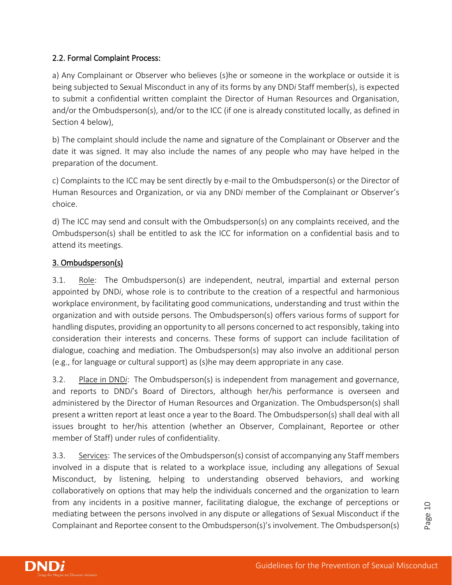#### 2.2. Formal Complaint Process:

a) Any Complainant or Observer who believes (s)he or someone in the workplace or outside it is being subjected to Sexual Misconduct in any of its forms by any DND*i* Staff member(s), is expected to submit a confidential written complaint the Director of Human Resources and Organisation, and/or the Ombudsperson(s), and/or to the ICC (if one is already constituted locally, as defined in Section 4 below),

b) The complaint should include the name and signature of the Complainant or Observer and the date it was signed. It may also include the names of any people who may have helped in the preparation of the document.

c) Complaints to the ICC may be sent directly by e-mail to the Ombudsperson(s) or the Director of Human Resources and Organization, or via any DND*i* member of the Complainant or Observer's choice.

d) The ICC may send and consult with the Ombudsperson(s) on any complaints received, and the Ombudsperson(s) shall be entitled to ask the ICC for information on a confidential basis and to attend its meetings.

#### 3. Ombudsperson(s)

3.1. Role: The Ombudsperson(s) are independent, neutral, impartial and external person appointed by DND*i*, whose role is to contribute to the creation of a respectful and harmonious workplace environment, by facilitating good communications, understanding and trust within the organization and with outside persons. The Ombudsperson(s) offers various forms of support for handling disputes, providing an opportunity to all persons concerned to act responsibly, taking into consideration their interests and concerns. These forms of support can include facilitation of dialogue, coaching and mediation. The Ombudsperson(s) may also involve an additional person (e.g., for language or cultural support) as (s)he may deem appropriate in any case.

3.2. Place in DND*i*: The Ombudsperson(s) is independent from management and governance, and reports to DND*i*'s Board of Directors, although her/his performance is overseen and administered by the Director of Human Resources and Organization. The Ombudsperson(s) shall present a written report at least once a year to the Board. The Ombudsperson(s) shall deal with all issues brought to her/his attention (whether an Observer, Complainant, Reportee or other member of Staff) under rules of confidentiality.

3.3. Services: The services of the Ombudsperson(s) consist of accompanying any Staff members involved in a dispute that is related to a workplace issue, including any allegations of Sexual Misconduct, by listening, helping to understanding observed behaviors, and working collaboratively on options that may help the individuals concerned and the organization to learn from any incidents in a positive manner, facilitating dialogue, the exchange of perceptions or mediating between the persons involved in any dispute or allegations of Sexual Misconduct if the Complainant and Reportee consent to the Ombudsperson(s)'s involvement. The Ombudsperson(s)

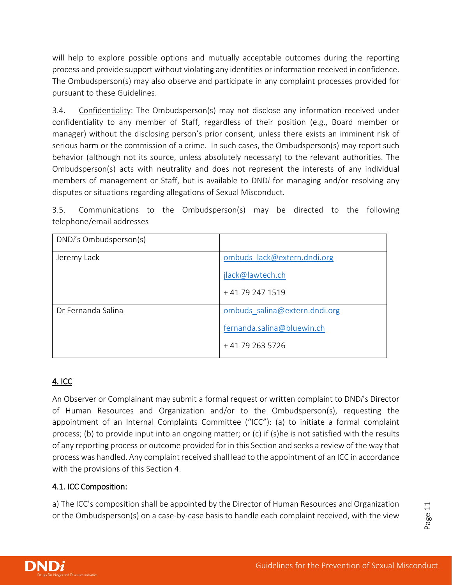will help to explore possible options and mutually acceptable outcomes during the reporting process and provide support without violating any identities or information received in confidence. The Ombudsperson(s) may also observe and participate in any complaint processes provided for pursuant to these Guidelines.

3.4. Confidentiality: The Ombudsperson(s) may not disclose any information received under confidentiality to any member of Staff, regardless of their position (e.g., Board member or manager) without the disclosing person's prior consent, unless there exists an imminent risk of serious harm or the commission of a crime. In such cases, the Ombudsperson(s) may report such behavior (although not its source, unless absolutely necessary) to the relevant authorities. The Ombudsperson(s) acts with neutrality and does not represent the interests of any individual members of management or Staff, but is available to DND*i* for managing and/or resolving any disputes or situations regarding allegations of Sexual Misconduct.

3.5. Communications to the Ombudsperson(s) may be directed to the following telephone/email addresses

| DNDi's Ombudsperson(s) |                               |
|------------------------|-------------------------------|
| Jeremy Lack            | ombuds lack@extern.dndi.org   |
|                        | jlack@lawtech.ch              |
|                        | +41792471519                  |
| Dr Fernanda Salina     | ombuds salina@extern.dndi.org |
|                        | fernanda.salina@bluewin.ch    |
|                        | +41792635726                  |

## 4. ICC

An Observer or Complainant may submit a formal request or written complaint to DND*i*'s Director of Human Resources and Organization and/or to the Ombudsperson(s), requesting the appointment of an Internal Complaints Committee ("ICC"): (a) to initiate a formal complaint process; (b) to provide input into an ongoing matter; or (c) if (s)he is not satisfied with the results of any reporting process or outcome provided for in this Section and seeks a review of the way that process was handled. Any complaint received shall lead to the appointment of an ICC in accordance with the provisions of this Section 4.

#### 4.1. ICC Composition:

a) The ICC's composition shall be appointed by the Director of Human Resources and Organization or the Ombudsperson(s) on a case-by-case basis to handle each complaint received, with the view



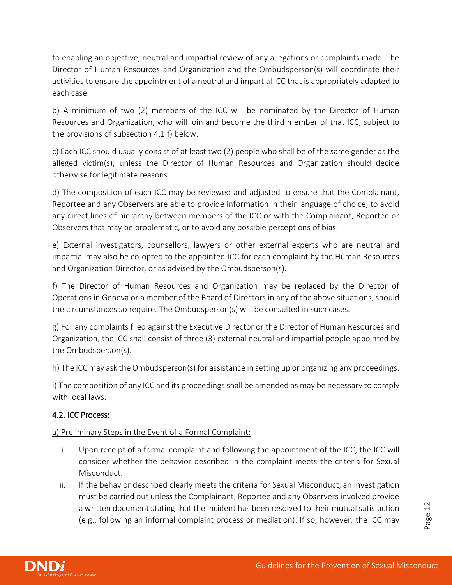to enabling an objective, neutral and impartial review of any allegations or complaints made. The Director of Human Resources and Organization and the Ombudsperson(s) will coordinate their activities to ensure the appointment of a neutral and impartial ICC that is appropriately adapted to each case.

b) A minimum of two (2) members of the ICC will be nominated by the Director of Human Resources and Organization, who will join and become the third member of that ICC, subject to the provisions of subsection 4.1.f) below.

c) Each ICC should usually consist of at least two (2) people who shall be of the same gender as the alleged victim(s), unless the Director of Human Resources and Organization should decide otherwise for legitimate reasons.

d) The composition of each ICC may be reviewed and adjusted to ensure that the Complainant, Reportee and any Observers are able to provide information in their language of choice, to avoid any direct lines of hierarchy between members of the ICC or with the Complainant, Reportee or Observers that may be problematic, or to avoid any possible perceptions of bias.

e) External investigators, counsellors, lawyers or other external experts who are neutral and impartial may also be co-opted to the appointed ICC for each complaint by the Human Resources and Organization Director, or as advised by the Ombudsperson(s).

f) The Director of Human Resources and Organization may be replaced by the Director of Operations in Geneva or a member of the Board of Directors in any of the above situations, should the circumstances so require. The Ombudsperson(s) will be consulted in such cases.

g) For any complaints filed against the Executive Director or the Director of Human Resources and Organization, the ICC shall consist of three (3) external neutral and impartial people appointed by the Ombudsperson(s).

h) The ICC may ask the Ombudsperson(s) for assistance in setting up or organizing any proceedings.

i) The composition of any ICC and its proceedings shall be amended as may be necessary to comply with local laws.

#### 4.2. ICC Process:

a) Preliminary Steps in the Event of a Formal Complaint:

- i. Upon receipt of a formal complaint and following the appointment of the ICC, the ICC will consider whether the behavior described in the complaint meets the criteria for Sexual Misconduct.
- ii. If the behavior described clearly meets the criteria for Sexual Misconduct, an investigation must be carried out unless the Complainant, Reportee and any Observers involved provide a written document stating that the incident has been resolved to their mutual satisfaction (e.g., following an informal complaint process or mediation). If so, however, the ICC may

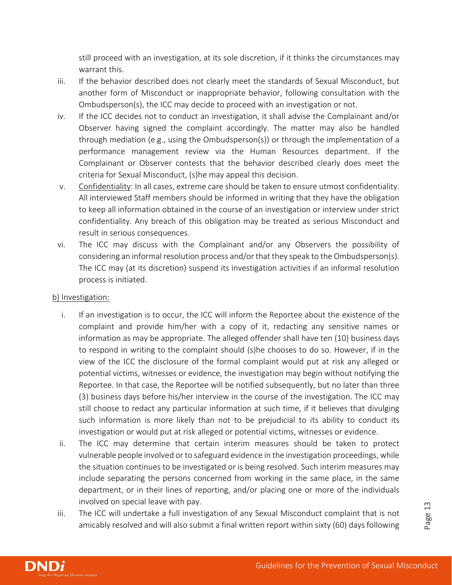still proceed with an investigation, at its sole discretion, if it thinks the circumstances may warrant this.

- iii. If the behavior described does not clearly meet the standards of Sexual Misconduct, but another form of Misconduct or inappropriate behavior, following consultation with the Ombudsperson(s), the ICC may decide to proceed with an investigation or not.
- iv. If the ICC decides not to conduct an investigation, it shall advise the Complainant and/or Observer having signed the complaint accordingly. The matter may also be handled through mediation (e.g., using the Ombudsperson(s)) or through the implementation of a performance management review via the Human Resources department. If the Complainant or Observer contests that the behavior described clearly does meet the criteria for Sexual Misconduct, (s)he may appeal this decision.
- v. Confidentiality: In all cases, extreme care should be taken to ensure utmost confidentiality. All interviewed Staff members should be informed in writing that they have the obligation to keep all information obtained in the course of an investigation or interview under strict confidentiality. Any breach of this obligation may be treated as serious Misconduct and result in serious consequences.
- vi. The ICC may discuss with the Complainant and/or any Observers the possibility of considering an informal resolution process and/or that they speak to the Ombudsperson(s). The ICC may (at its discretion) suspend its investigation activities if an informal resolution process is initiated.

#### b) Investigation:

- i. If an investigation is to occur, the ICC will inform the Reportee about the existence of the complaint and provide him/her with a copy of it, redacting any sensitive names or information as may be appropriate. The alleged offender shall have ten (10) business days to respond in writing to the complaint should (s)he chooses to do so. However, if in the view of the ICC the disclosure of the formal complaint would put at risk any alleged or potential victims, witnesses or evidence, the investigation may begin without notifying the Reportee. In that case, the Reportee will be notified subsequently, but no later than three (3) business days before his/her interview in the course of the investigation. The ICC may still choose to redact any particular information at such time, if it believes that divulging such information is more likely than not to be prejudicial to its ability to conduct its investigation or would put at risk alleged or potential victims, witnesses or evidence.
- ii. The ICC may determine that certain interim measures should be taken to protect vulnerable people involved or to safeguard evidence in the investigation proceedings, while the situation continues to be investigated or is being resolved. Such interim measures may include separating the persons concerned from working in the same place, in the same department, or in their lines of reporting, and/or placing one or more of the individuals involved on special leave with pay.
- iii. The ICC will undertake a full investigation of any Sexual Misconduct complaint that is not amicably resolved and will also submit a final written report within sixty (60) days following

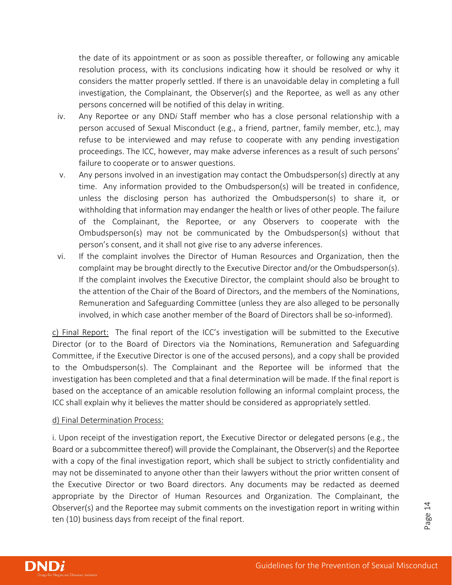the date of its appointment or as soon as possible thereafter, or following any amicable resolution process, with its conclusions indicating how it should be resolved or why it considers the matter properly settled. If there is an unavoidable delay in completing a full investigation, the Complainant, the Observer(s) and the Reportee, as well as any other persons concerned will be notified of this delay in writing.

- iv. Any Reportee or any DND*i* Staff member who has a close personal relationship with a person accused of Sexual Misconduct (e.g., a friend, partner, family member, etc.), may refuse to be interviewed and may refuse to cooperate with any pending investigation proceedings. The ICC, however, may make adverse inferences as a result of such persons' failure to cooperate or to answer questions.
- v. Any persons involved in an investigation may contact the Ombudsperson(s) directly at any time. Any information provided to the Ombudsperson(s) will be treated in confidence, unless the disclosing person has authorized the Ombudsperson(s) to share it, or withholding that information may endanger the health or lives of other people. The failure of the Complainant, the Reportee, or any Observers to cooperate with the Ombudsperson(s) may not be communicated by the Ombudsperson(s) without that person's consent, and it shall not give rise to any adverse inferences.
- vi. If the complaint involves the Director of Human Resources and Organization, then the complaint may be brought directly to the Executive Director and/or the Ombudsperson(s). If the complaint involves the Executive Director, the complaint should also be brought to the attention of the Chair of the Board of Directors, and the members of the Nominations, Remuneration and Safeguarding Committee (unless they are also alleged to be personally involved, in which case another member of the Board of Directors shall be so-informed).

c) Final Report: The final report of the ICC's investigation will be submitted to the Executive Director (or to the Board of Directors via the Nominations, Remuneration and Safeguarding Committee, if the Executive Director is one of the accused persons), and a copy shall be provided to the Ombudsperson(s). The Complainant and the Reportee will be informed that the investigation has been completed and that a final determination will be made. If the final report is based on the acceptance of an amicable resolution following an informal complaint process, the ICC shall explain why it believes the matter should be considered as appropriately settled.

#### d) Final Determination Process:

i. Upon receipt of the investigation report, the Executive Director or delegated persons (e.g., the Board or a subcommittee thereof) will provide the Complainant, the Observer(s) and the Reportee with a copy of the final investigation report, which shall be subject to strictly confidentiality and may not be disseminated to anyone other than their lawyers without the prior written consent of the Executive Director or two Board directors. Any documents may be redacted as deemed appropriate by the Director of Human Resources and Organization. The Complainant, the Observer(s) and the Reportee may submit comments on the investigation report in writing within ten (10) business days from receipt of the final report.

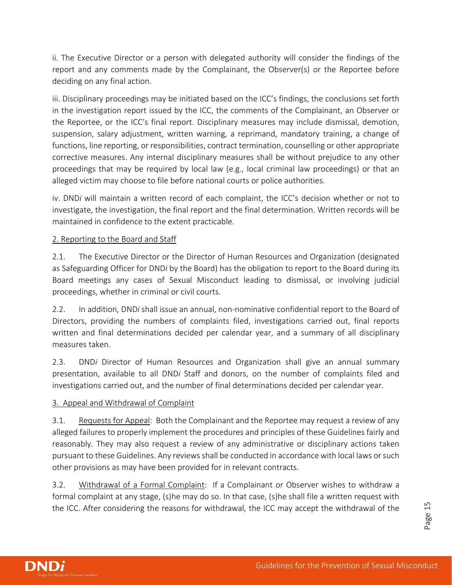ii. The Executive Director or a person with delegated authority will consider the findings of the report and any comments made by the Complainant, the Observer(s) or the Reportee before deciding on any final action.

iii. Disciplinary proceedings may be initiated based on the ICC's findings, the conclusions set forth in the investigation report issued by the ICC, the comments of the Complainant, an Observer or the Reportee, or the ICC's final report. Disciplinary measures may include dismissal, demotion, suspension, salary adjustment, written warning, a reprimand, mandatory training, a change of functions, line reporting, or responsibilities, contract termination, counselling or other appropriate corrective measures. Any internal disciplinary measures shall be without prejudice to any other proceedings that may be required by local law (e.g., local criminal law proceedings) or that an alleged victim may choose to file before national courts or police authorities.

iv. DND*i* will maintain a written record of each complaint, the ICC's decision whether or not to investigate, the investigation, the final report and the final determination. Written records will be maintained in confidence to the extent practicable.

#### 2. Reporting to the Board and Staff

2.1. The Executive Director or the Director of Human Resources and Organization (designated as Safeguarding Officer for DND*i* by the Board) has the obligation to report to the Board during its Board meetings any cases of Sexual Misconduct leading to dismissal, or involving judicial proceedings, whether in criminal or civil courts.

2.2. In addition, DND*i* shall issue an annual, non-nominative confidential report to the Board of Directors, providing the numbers of complaints filed, investigations carried out, final reports written and final determinations decided per calendar year, and a summary of all disciplinary measures taken.

2.3. DND*i* Director of Human Resources and Organization shall give an annual summary presentation, available to all DND*i* Staff and donors, on the number of complaints filed and investigations carried out, and the number of final determinations decided per calendar year.

#### 3. Appeal and Withdrawal of Complaint

3.1. Requests for Appeal: Both the Complainant and the Reportee may request a review of any alleged failures to properly implement the procedures and principles of these Guidelines fairly and reasonably. They may also request a review of any administrative or disciplinary actions taken pursuant to these Guidelines. Any reviews shall be conducted in accordance with local laws orsuch other provisions as may have been provided for in relevant contracts.

3.2. Withdrawal of a Formal Complaint: If a Complainant or Observer wishes to withdraw a formal complaint at any stage, (s)he may do so. In that case, (s)he shall file a written request with the ICC. After considering the reasons for withdrawal, the ICC may accept the withdrawal of the